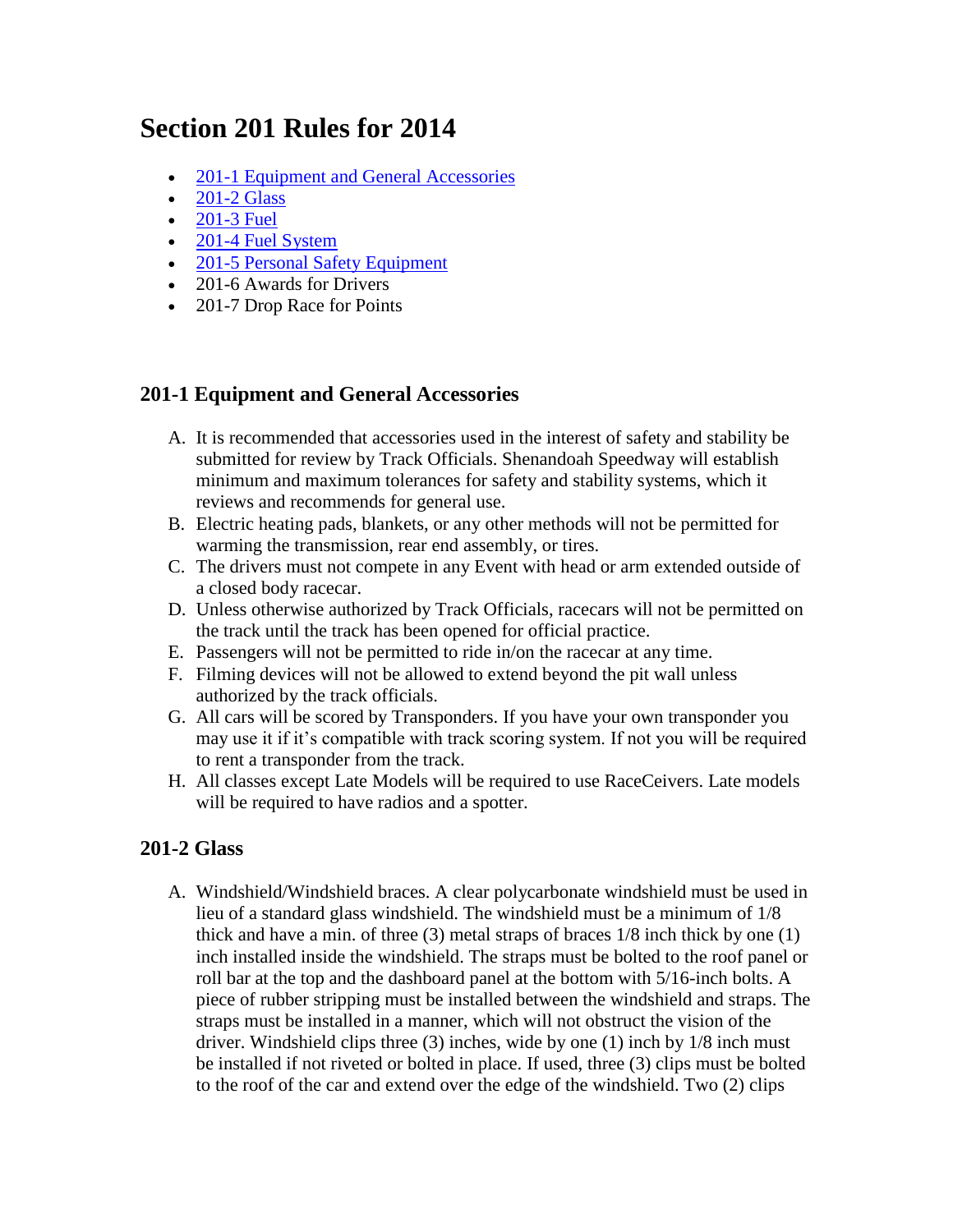# **Section 201 Rules for 2014**

- [201-1 Equipment and General Accessories](http://www.shenandoahspeedway.com/rules_201.shtml#2011)
- $\bullet$  [201-2 Glass](http://www.shenandoahspeedway.com/rules_201.shtml#2012)
- $\bullet$  [201-3 Fuel](http://www.shenandoahspeedway.com/rules_201.shtml#2013)
- [201-4 Fuel System](http://www.shenandoahspeedway.com/rules_201.shtml#2014)
- [201-5 Personal Safety](http://www.shenandoahspeedway.com/rules_201.shtml#2015) Equipment
- 201-6 Awards for Drivers
- 201-7 Drop Race for Points

## **201-1 Equipment and General Accessories**

- A. It is recommended that accessories used in the interest of safety and stability be submitted for review by Track Officials. Shenandoah Speedway will establish minimum and maximum tolerances for safety and stability systems, which it reviews and recommends for general use.
- B. Electric heating pads, blankets, or any other methods will not be permitted for warming the transmission, rear end assembly, or tires.
- C. The drivers must not compete in any Event with head or arm extended outside of a closed body racecar.
- D. Unless otherwise authorized by Track Officials, racecars will not be permitted on the track until the track has been opened for official practice.
- E. Passengers will not be permitted to ride in/on the racecar at any time.
- F. Filming devices will not be allowed to extend beyond the pit wall unless authorized by the track officials.
- G. All cars will be scored by Transponders. If you have your own transponder you may use it if it's compatible with track scoring system. If not you will be required to rent a transponder from the track.
- H. All classes except Late Models will be required to use RaceCeivers. Late models will be required to have radios and a spotter.

## **201-2 Glass**

A. Windshield/Windshield braces. A clear polycarbonate windshield must be used in lieu of a standard glass windshield. The windshield must be a minimum of 1/8 thick and have a min. of three (3) metal straps of braces 1/8 inch thick by one (1) inch installed inside the windshield. The straps must be bolted to the roof panel or roll bar at the top and the dashboard panel at the bottom with 5/16-inch bolts. A piece of rubber stripping must be installed between the windshield and straps. The straps must be installed in a manner, which will not obstruct the vision of the driver. Windshield clips three (3) inches, wide by one (1) inch by 1/8 inch must be installed if not riveted or bolted in place. If used, three (3) clips must be bolted to the roof of the car and extend over the edge of the windshield. Two (2) clips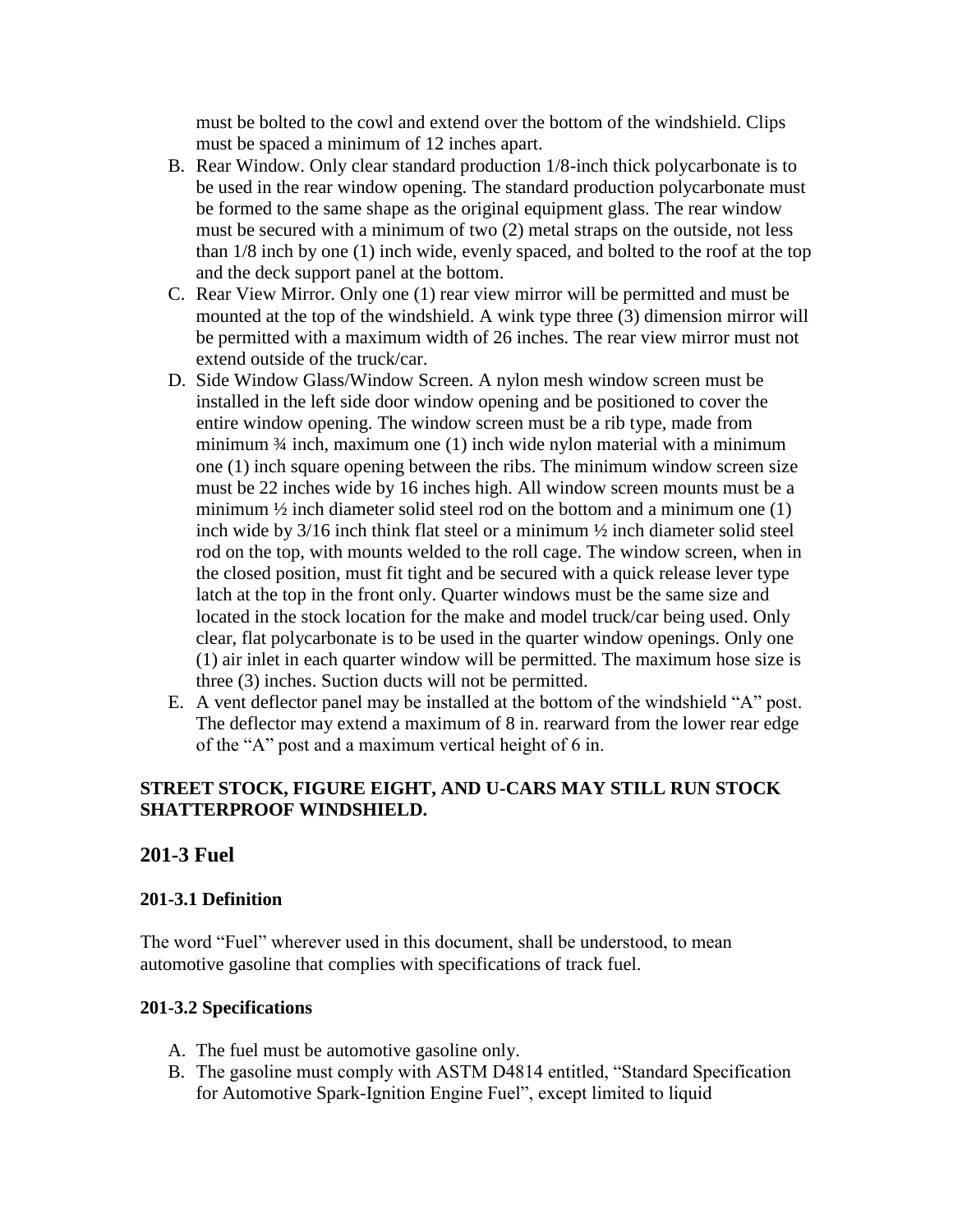must be bolted to the cowl and extend over the bottom of the windshield. Clips must be spaced a minimum of 12 inches apart.

- B. Rear Window. Only clear standard production 1/8-inch thick polycarbonate is to be used in the rear window opening. The standard production polycarbonate must be formed to the same shape as the original equipment glass. The rear window must be secured with a minimum of two (2) metal straps on the outside, not less than 1/8 inch by one (1) inch wide, evenly spaced, and bolted to the roof at the top and the deck support panel at the bottom.
- C. Rear View Mirror. Only one (1) rear view mirror will be permitted and must be mounted at the top of the windshield. A wink type three (3) dimension mirror will be permitted with a maximum width of 26 inches. The rear view mirror must not extend outside of the truck/car.
- D. Side Window Glass/Window Screen. A nylon mesh window screen must be installed in the left side door window opening and be positioned to cover the entire window opening. The window screen must be a rib type, made from minimum ¾ inch, maximum one (1) inch wide nylon material with a minimum one (1) inch square opening between the ribs. The minimum window screen size must be 22 inches wide by 16 inches high. All window screen mounts must be a minimum  $\frac{1}{2}$  inch diameter solid steel rod on the bottom and a minimum one (1) inch wide by 3/16 inch think flat steel or a minimum ½ inch diameter solid steel rod on the top, with mounts welded to the roll cage. The window screen, when in the closed position, must fit tight and be secured with a quick release lever type latch at the top in the front only. Quarter windows must be the same size and located in the stock location for the make and model truck/car being used. Only clear, flat polycarbonate is to be used in the quarter window openings. Only one (1) air inlet in each quarter window will be permitted. The maximum hose size is three (3) inches. Suction ducts will not be permitted.
- E. A vent deflector panel may be installed at the bottom of the windshield "A" post. The deflector may extend a maximum of 8 in. rearward from the lower rear edge of the "A" post and a maximum vertical height of 6 in.

## **STREET STOCK, FIGURE EIGHT, AND U-CARS MAY STILL RUN STOCK SHATTERPROOF WINDSHIELD.**

#### **201-3 Fuel**

#### **201-3.1 Definition**

The word "Fuel" wherever used in this document, shall be understood, to mean automotive gasoline that complies with specifications of track fuel.

#### **201-3.2 Specifications**

- A. The fuel must be automotive gasoline only.
- B. The gasoline must comply with ASTM D4814 entitled, "Standard Specification for Automotive Spark-Ignition Engine Fuel", except limited to liquid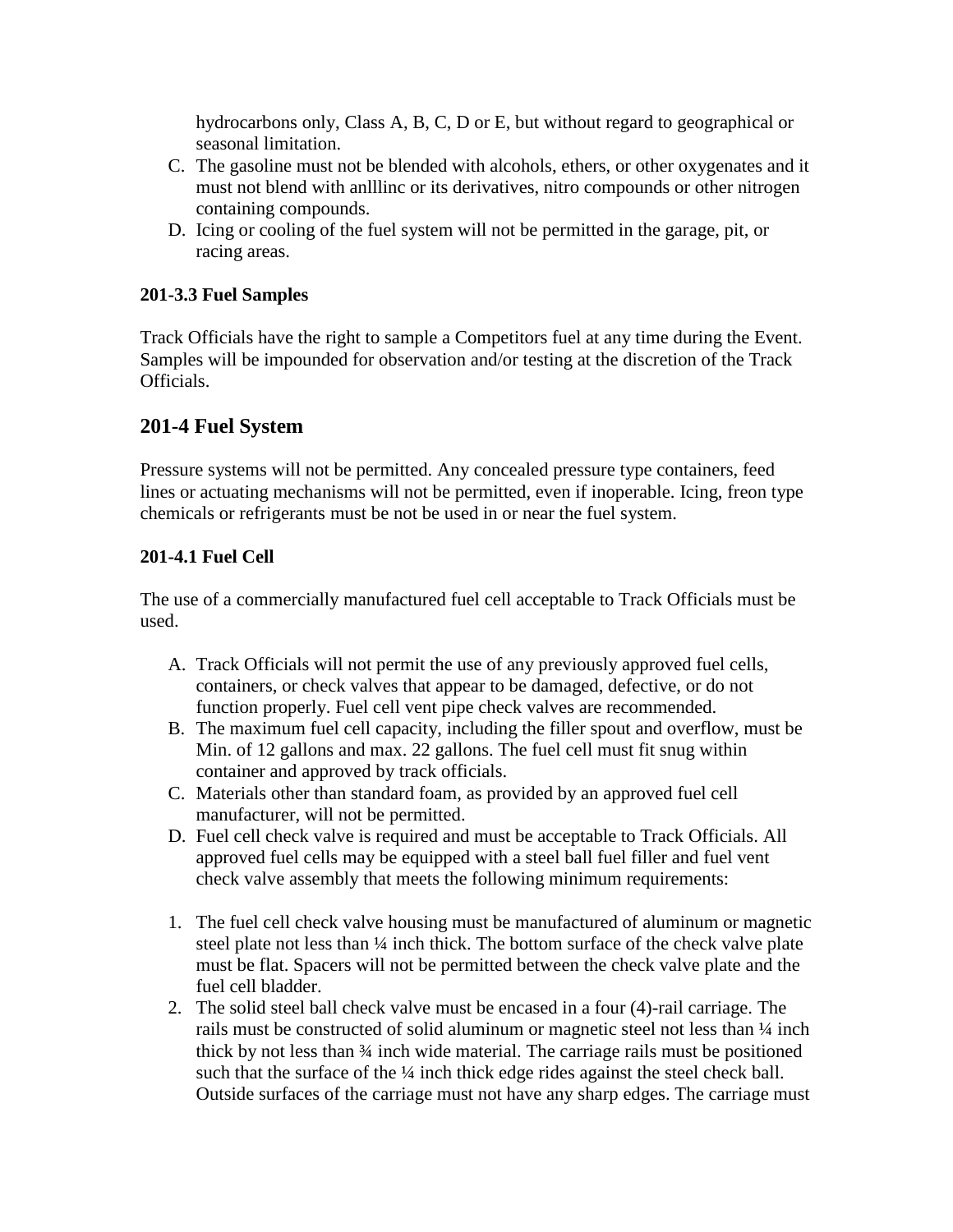hydrocarbons only, Class A, B, C, D or E, but without regard to geographical or seasonal limitation.

- C. The gasoline must not be blended with alcohols, ethers, or other oxygenates and it must not blend with anlllinc or its derivatives, nitro compounds or other nitrogen containing compounds.
- D. Icing or cooling of the fuel system will not be permitted in the garage, pit, or racing areas.

## **201-3.3 Fuel Samples**

Track Officials have the right to sample a Competitors fuel at any time during the Event. Samples will be impounded for observation and/or testing at the discretion of the Track Officials.

## **201-4 Fuel System**

Pressure systems will not be permitted. Any concealed pressure type containers, feed lines or actuating mechanisms will not be permitted, even if inoperable. Icing, freon type chemicals or refrigerants must be not be used in or near the fuel system.

## **201-4.1 Fuel Cell**

The use of a commercially manufactured fuel cell acceptable to Track Officials must be used.

- A. Track Officials will not permit the use of any previously approved fuel cells, containers, or check valves that appear to be damaged, defective, or do not function properly. Fuel cell vent pipe check valves are recommended.
- B. The maximum fuel cell capacity, including the filler spout and overflow, must be Min. of 12 gallons and max. 22 gallons. The fuel cell must fit snug within container and approved by track officials.
- C. Materials other than standard foam, as provided by an approved fuel cell manufacturer, will not be permitted.
- D. Fuel cell check valve is required and must be acceptable to Track Officials. All approved fuel cells may be equipped with a steel ball fuel filler and fuel vent check valve assembly that meets the following minimum requirements:
- 1. The fuel cell check valve housing must be manufactured of aluminum or magnetic steel plate not less than ¼ inch thick. The bottom surface of the check valve plate must be flat. Spacers will not be permitted between the check valve plate and the fuel cell bladder.
- 2. The solid steel ball check valve must be encased in a four (4)-rail carriage. The rails must be constructed of solid aluminum or magnetic steel not less than  $\frac{1}{4}$  inch thick by not less than ¾ inch wide material. The carriage rails must be positioned such that the surface of the ¼ inch thick edge rides against the steel check ball. Outside surfaces of the carriage must not have any sharp edges. The carriage must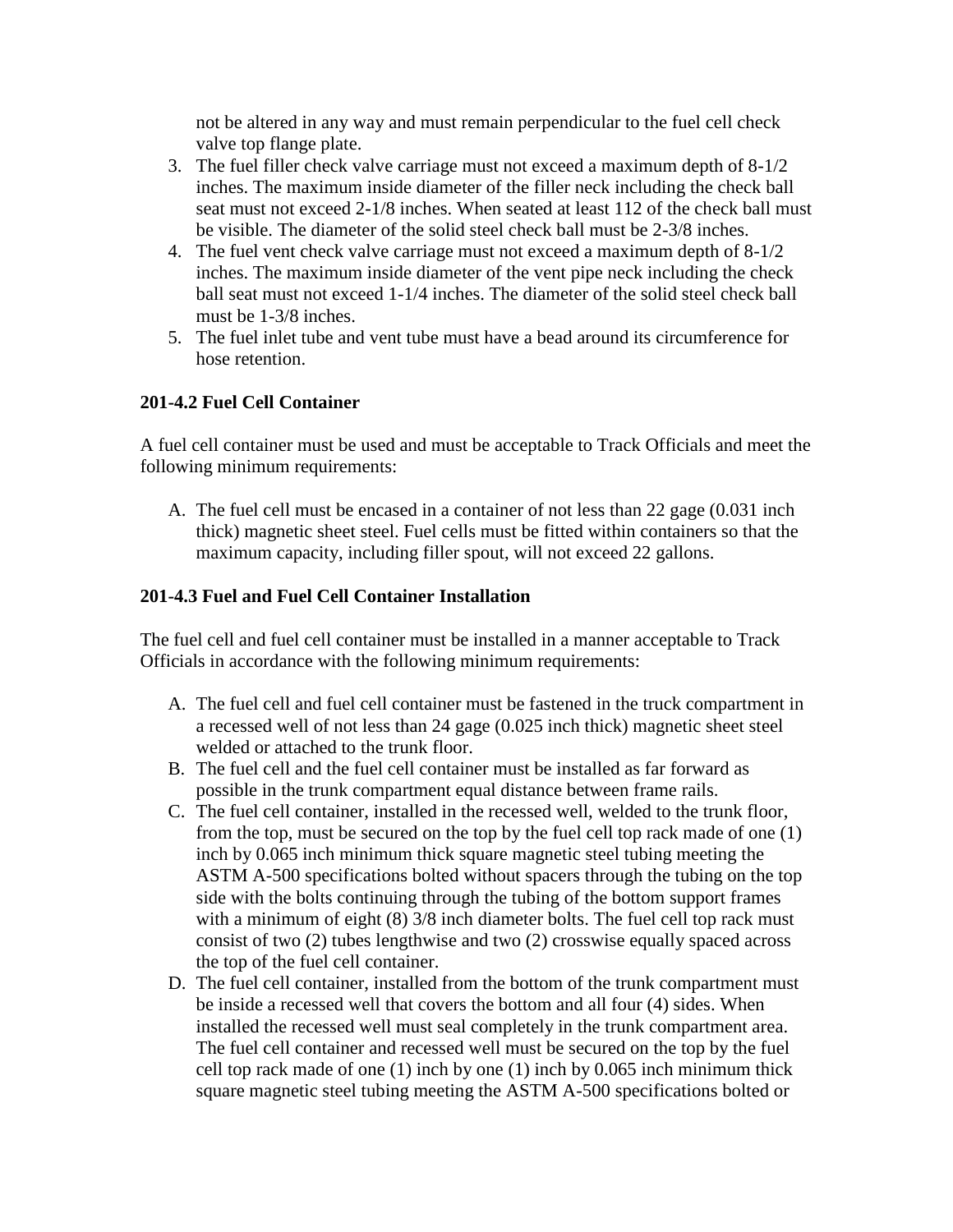not be altered in any way and must remain perpendicular to the fuel cell check valve top flange plate.

- 3. The fuel filler check valve carriage must not exceed a maximum depth of 8-1/2 inches. The maximum inside diameter of the filler neck including the check ball seat must not exceed 2-1/8 inches. When seated at least 112 of the check ball must be visible. The diameter of the solid steel check ball must be 2-3/8 inches.
- 4. The fuel vent check valve carriage must not exceed a maximum depth of 8-1/2 inches. The maximum inside diameter of the vent pipe neck including the check ball seat must not exceed 1-1/4 inches. The diameter of the solid steel check ball must be 1-3/8 inches.
- 5. The fuel inlet tube and vent tube must have a bead around its circumference for hose retention.

#### **201-4.2 Fuel Cell Container**

A fuel cell container must be used and must be acceptable to Track Officials and meet the following minimum requirements:

A. The fuel cell must be encased in a container of not less than 22 gage (0.031 inch thick) magnetic sheet steel. Fuel cells must be fitted within containers so that the maximum capacity, including filler spout, will not exceed 22 gallons.

#### **201-4.3 Fuel and Fuel Cell Container Installation**

The fuel cell and fuel cell container must be installed in a manner acceptable to Track Officials in accordance with the following minimum requirements:

- A. The fuel cell and fuel cell container must be fastened in the truck compartment in a recessed well of not less than 24 gage (0.025 inch thick) magnetic sheet steel welded or attached to the trunk floor.
- B. The fuel cell and the fuel cell container must be installed as far forward as possible in the trunk compartment equal distance between frame rails.
- C. The fuel cell container, installed in the recessed well, welded to the trunk floor, from the top, must be secured on the top by the fuel cell top rack made of one (1) inch by 0.065 inch minimum thick square magnetic steel tubing meeting the ASTM A-500 specifications bolted without spacers through the tubing on the top side with the bolts continuing through the tubing of the bottom support frames with a minimum of eight (8)  $3/8$  inch diameter bolts. The fuel cell top rack must consist of two (2) tubes lengthwise and two (2) crosswise equally spaced across the top of the fuel cell container.
- D. The fuel cell container, installed from the bottom of the trunk compartment must be inside a recessed well that covers the bottom and all four (4) sides. When installed the recessed well must seal completely in the trunk compartment area. The fuel cell container and recessed well must be secured on the top by the fuel cell top rack made of one (1) inch by one (1) inch by 0.065 inch minimum thick square magnetic steel tubing meeting the ASTM A-500 specifications bolted or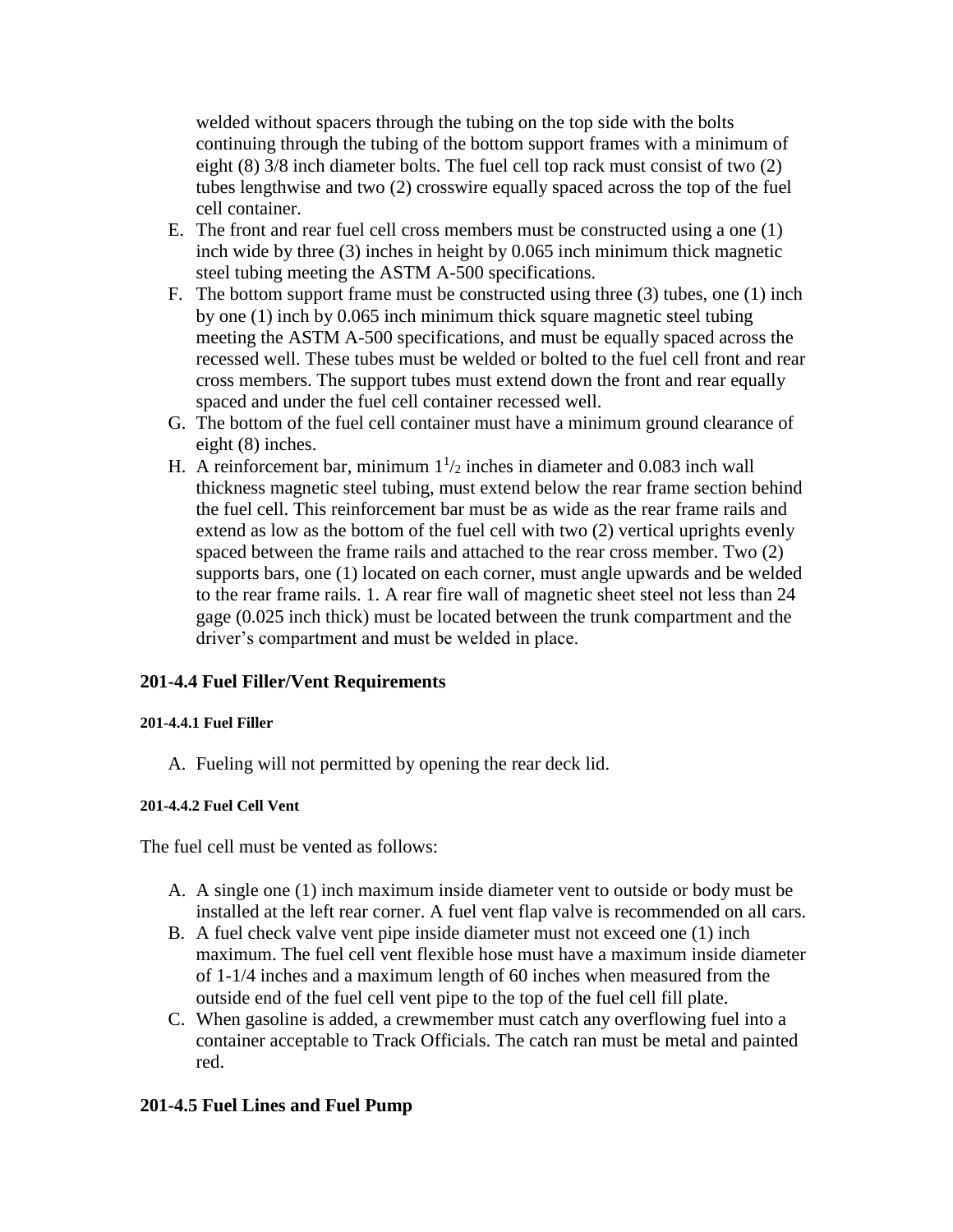welded without spacers through the tubing on the top side with the bolts continuing through the tubing of the bottom support frames with a minimum of eight (8) 3/8 inch diameter bolts. The fuel cell top rack must consist of two (2) tubes lengthwise and two (2) crosswire equally spaced across the top of the fuel cell container.

- E. The front and rear fuel cell cross members must be constructed using a one (1) inch wide by three (3) inches in height by 0.065 inch minimum thick magnetic steel tubing meeting the ASTM A-500 specifications.
- F. The bottom support frame must be constructed using three (3) tubes, one (1) inch by one (1) inch by 0.065 inch minimum thick square magnetic steel tubing meeting the ASTM A-500 specifications, and must be equally spaced across the recessed well. These tubes must be welded or bolted to the fuel cell front and rear cross members. The support tubes must extend down the front and rear equally spaced and under the fuel cell container recessed well.
- G. The bottom of the fuel cell container must have a minimum ground clearance of eight (8) inches.
- H. A reinforcement bar, minimum  $1\frac{1}{2}$  inches in diameter and 0.083 inch wall thickness magnetic steel tubing, must extend below the rear frame section behind the fuel cell. This reinforcement bar must be as wide as the rear frame rails and extend as low as the bottom of the fuel cell with two (2) vertical uprights evenly spaced between the frame rails and attached to the rear cross member. Two (2) supports bars, one (1) located on each corner, must angle upwards and be welded to the rear frame rails. 1. A rear fire wall of magnetic sheet steel not less than 24 gage (0.025 inch thick) must be located between the trunk compartment and the driver's compartment and must be welded in place.

#### **201-4.4 Fuel Filler/Vent Requirements**

#### **201-4.4.1 Fuel Filler**

A. Fueling will not permitted by opening the rear deck lid.

#### **201-4.4.2 Fuel Cell Vent**

The fuel cell must be vented as follows:

- A. A single one (1) inch maximum inside diameter vent to outside or body must be installed at the left rear corner. A fuel vent flap valve is recommended on all cars.
- B. A fuel check valve vent pipe inside diameter must not exceed one (1) inch maximum. The fuel cell vent flexible hose must have a maximum inside diameter of 1-1/4 inches and a maximum length of 60 inches when measured from the outside end of the fuel cell vent pipe to the top of the fuel cell fill plate.
- C. When gasoline is added, a crewmember must catch any overflowing fuel into a container acceptable to Track Officials. The catch ran must be metal and painted red.

#### **201-4.5 Fuel Lines and Fuel Pump**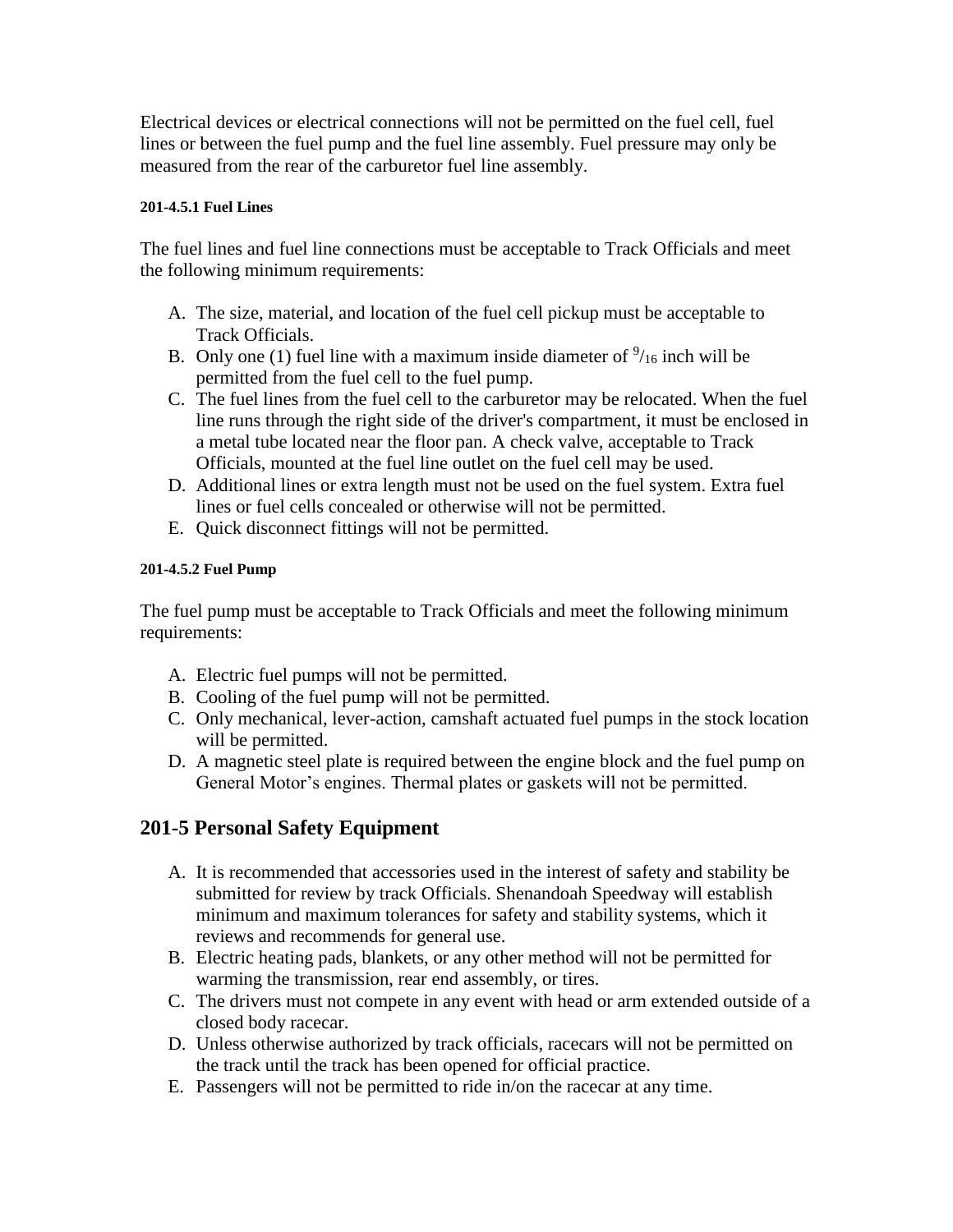Electrical devices or electrical connections will not be permitted on the fuel cell, fuel lines or between the fuel pump and the fuel line assembly. Fuel pressure may only be measured from the rear of the carburetor fuel line assembly.

#### **201-4.5.1 Fuel Lines**

The fuel lines and fuel line connections must be acceptable to Track Officials and meet the following minimum requirements:

- A. The size, material, and location of the fuel cell pickup must be acceptable to Track Officials.
- B. Only one (1) fuel line with a maximum inside diameter of  $\frac{9}{16}$  inch will be permitted from the fuel cell to the fuel pump.
- C. The fuel lines from the fuel cell to the carburetor may be relocated. When the fuel line runs through the right side of the driver's compartment, it must be enclosed in a metal tube located near the floor pan. A check valve, acceptable to Track Officials, mounted at the fuel line outlet on the fuel cell may be used.
- D. Additional lines or extra length must not be used on the fuel system. Extra fuel lines or fuel cells concealed or otherwise will not be permitted.
- E. Quick disconnect fittings will not be permitted.

#### **201-4.5.2 Fuel Pump**

The fuel pump must be acceptable to Track Officials and meet the following minimum requirements:

- A. Electric fuel pumps will not be permitted.
- B. Cooling of the fuel pump will not be permitted.
- C. Only mechanical, lever-action, camshaft actuated fuel pumps in the stock location will be permitted.
- D. A magnetic steel plate is required between the engine block and the fuel pump on General Motor's engines. Thermal plates or gaskets will not be permitted.

# **201-5 Personal Safety Equipment**

- A. It is recommended that accessories used in the interest of safety and stability be submitted for review by track Officials. Shenandoah Speedway will establish minimum and maximum tolerances for safety and stability systems, which it reviews and recommends for general use.
- B. Electric heating pads, blankets, or any other method will not be permitted for warming the transmission, rear end assembly, or tires.
- C. The drivers must not compete in any event with head or arm extended outside of a closed body racecar.
- D. Unless otherwise authorized by track officials, racecars will not be permitted on the track until the track has been opened for official practice.
- E. Passengers will not be permitted to ride in/on the racecar at any time.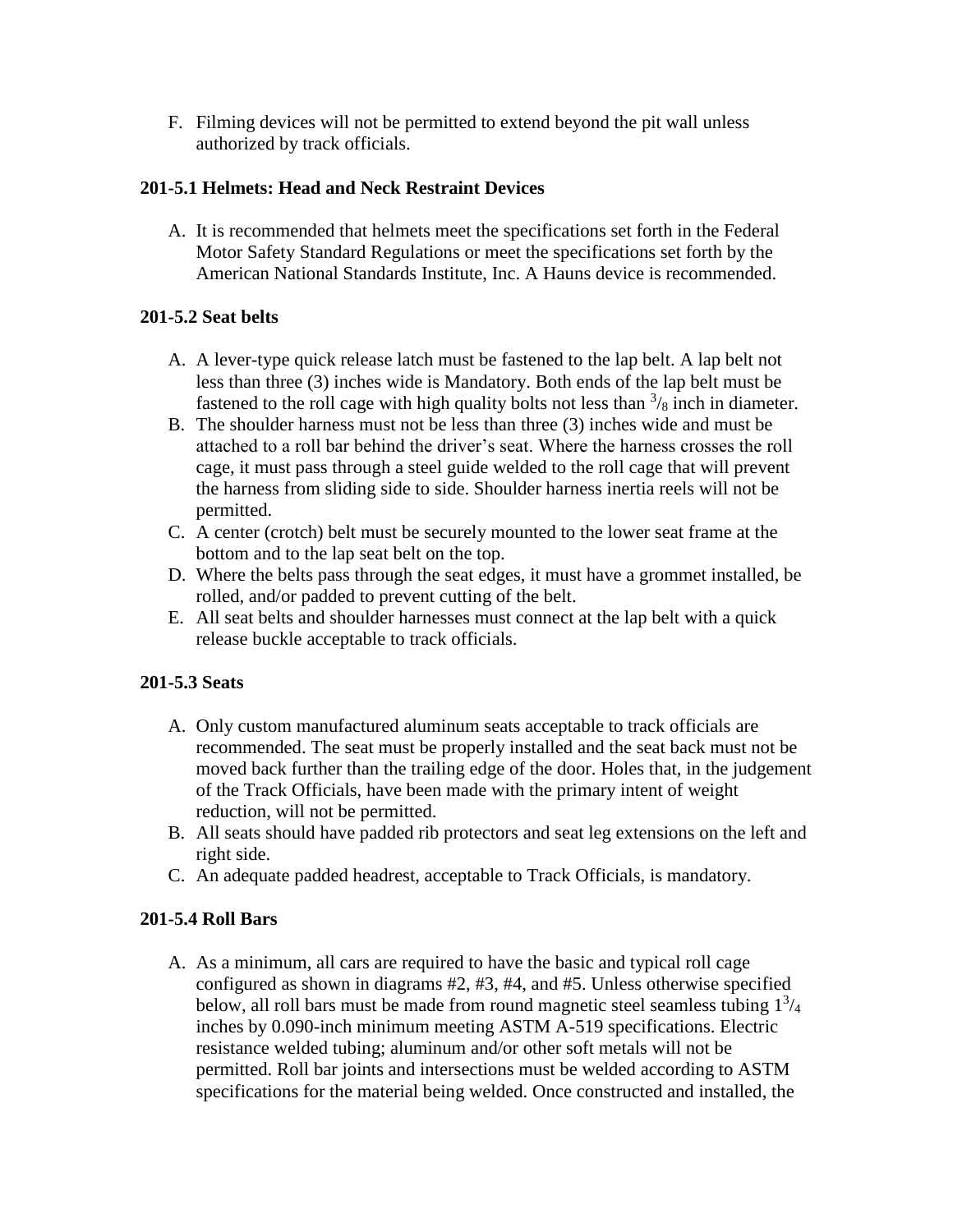F. Filming devices will not be permitted to extend beyond the pit wall unless authorized by track officials.

## **201-5.1 Helmets: Head and Neck Restraint Devices**

A. It is recommended that helmets meet the specifications set forth in the Federal Motor Safety Standard Regulations or meet the specifications set forth by the American National Standards Institute, Inc. A Hauns device is recommended.

## **201-5.2 Seat belts**

- A. A lever-type quick release latch must be fastened to the lap belt. A lap belt not less than three (3) inches wide is Mandatory. Both ends of the lap belt must be fastened to the roll cage with high quality bolts not less than  $\frac{3}{8}$  inch in diameter.
- B. The shoulder harness must not be less than three (3) inches wide and must be attached to a roll bar behind the driver's seat. Where the harness crosses the roll cage, it must pass through a steel guide welded to the roll cage that will prevent the harness from sliding side to side. Shoulder harness inertia reels will not be permitted.
- C. A center (crotch) belt must be securely mounted to the lower seat frame at the bottom and to the lap seat belt on the top.
- D. Where the belts pass through the seat edges, it must have a grommet installed, be rolled, and/or padded to prevent cutting of the belt.
- E. All seat belts and shoulder harnesses must connect at the lap belt with a quick release buckle acceptable to track officials.

## **201-5.3 Seats**

- A. Only custom manufactured aluminum seats acceptable to track officials are recommended. The seat must be properly installed and the seat back must not be moved back further than the trailing edge of the door. Holes that, in the judgement of the Track Officials, have been made with the primary intent of weight reduction, will not be permitted.
- B. All seats should have padded rib protectors and seat leg extensions on the left and right side.
- C. An adequate padded headrest, acceptable to Track Officials, is mandatory.

## **201-5.4 Roll Bars**

A. As a minimum, all cars are required to have the basic and typical roll cage configured as shown in diagrams #2, #3, #4, and #5. Unless otherwise specified below, all roll bars must be made from round magnetic steel seamless tubing  $1^{3}/_{4}$ inches by 0.090-inch minimum meeting ASTM A-519 specifications. Electric resistance welded tubing; aluminum and/or other soft metals will not be permitted. Roll bar joints and intersections must be welded according to ASTM specifications for the material being welded. Once constructed and installed, the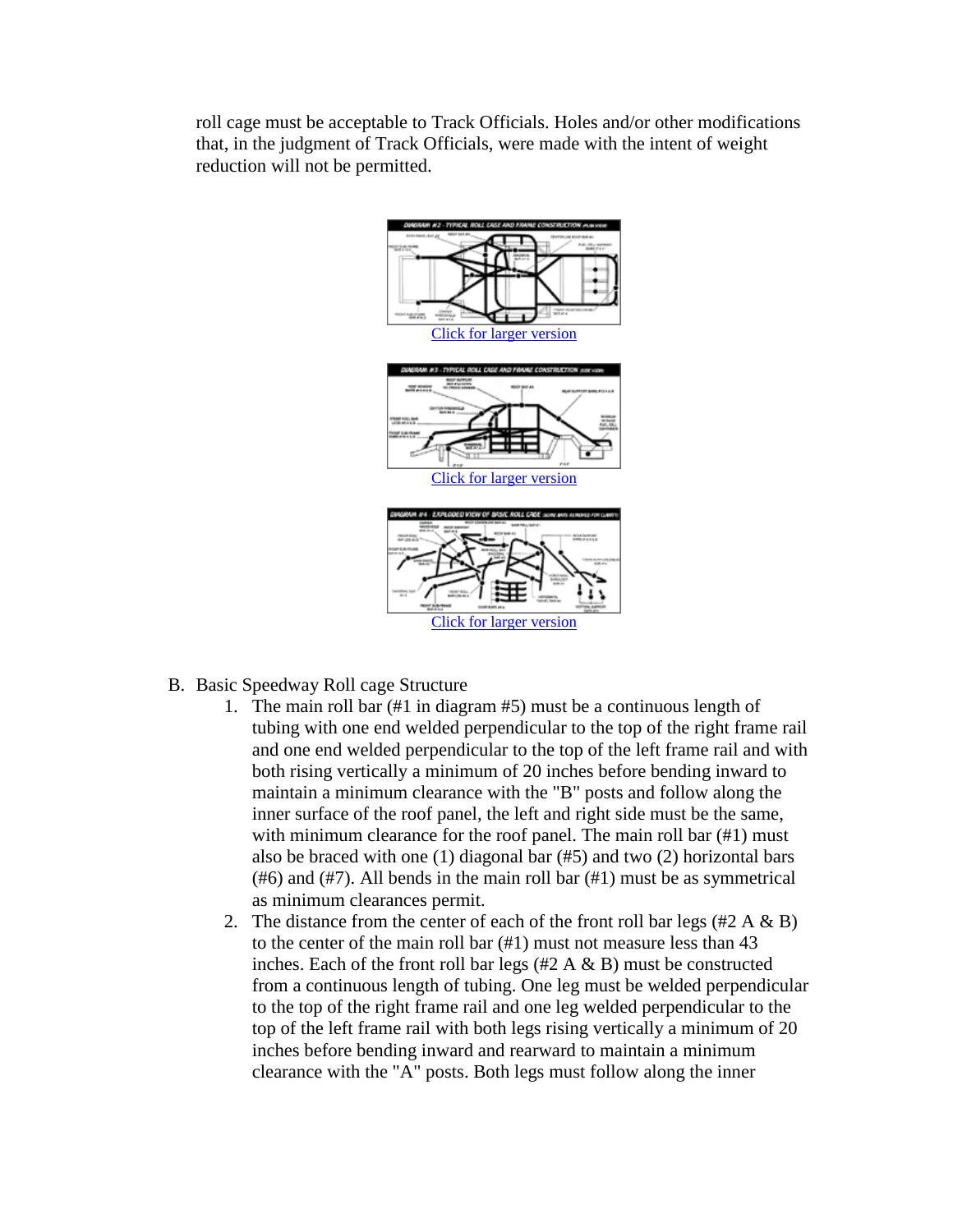roll cage must be acceptable to Track Officials. Holes and/or other modifications that, in the judgment of Track Officials, were made with the intent of weight reduction will not be permitted.



- B. Basic Speedway Roll cage Structure
	- 1. The main roll bar (#1 in diagram #5) must be a continuous length of tubing with one end welded perpendicular to the top of the right frame rail and one end welded perpendicular to the top of the left frame rail and with both rising vertically a minimum of 20 inches before bending inward to maintain a minimum clearance with the "B" posts and follow along the inner surface of the roof panel, the left and right side must be the same, with minimum clearance for the roof panel. The main roll bar (#1) must also be braced with one (1) diagonal bar (#5) and two (2) horizontal bars (#6) and (#7). All bends in the main roll bar (#1) must be as symmetrical as minimum clearances permit.
	- 2. The distance from the center of each of the front roll bar legs  $(\#2 \land \& B)$ to the center of the main roll bar (#1) must not measure less than 43 inches. Each of the front roll bar legs  $(\#2 \land \& B)$  must be constructed from a continuous length of tubing. One leg must be welded perpendicular to the top of the right frame rail and one leg welded perpendicular to the top of the left frame rail with both legs rising vertically a minimum of 20 inches before bending inward and rearward to maintain a minimum clearance with the "A" posts. Both legs must follow along the inner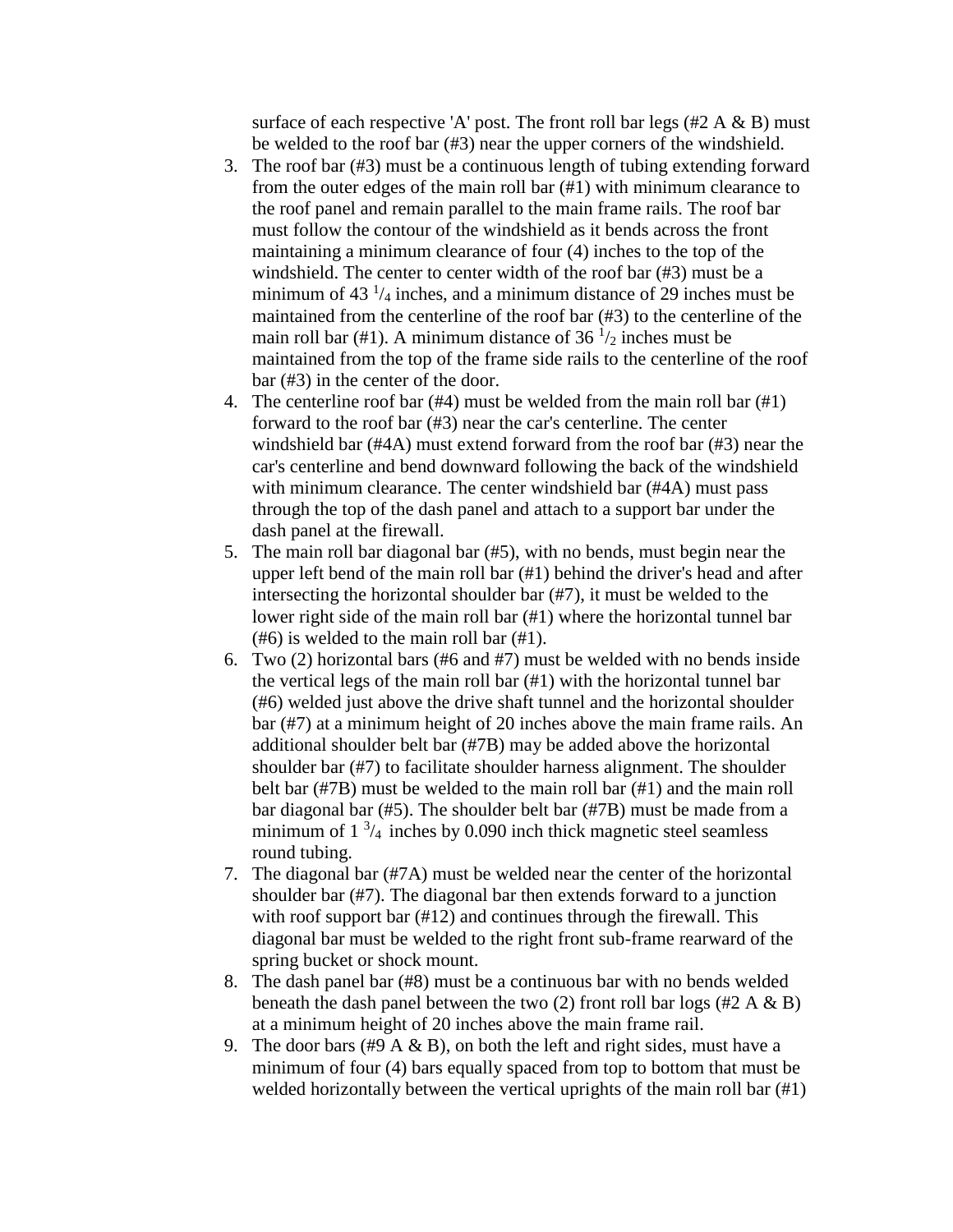surface of each respective 'A' post. The front roll bar legs  $(\#2 \land \& B)$  must be welded to the roof bar (#3) near the upper corners of the windshield.

- 3. The roof bar (#3) must be a continuous length of tubing extending forward from the outer edges of the main roll bar (#1) with minimum clearance to the roof panel and remain parallel to the main frame rails. The roof bar must follow the contour of the windshield as it bends across the front maintaining a minimum clearance of four (4) inches to the top of the windshield. The center to center width of the roof bar (#3) must be a minimum of  $43<sup>1</sup>/4$  inches, and a minimum distance of 29 inches must be maintained from the centerline of the roof bar (#3) to the centerline of the main roll bar (#1). A minimum distance of 36  $\frac{1}{2}$  inches must be maintained from the top of the frame side rails to the centerline of the roof bar (#3) in the center of the door.
- 4. The centerline roof bar (#4) must be welded from the main roll bar (#1) forward to the roof bar (#3) near the car's centerline. The center windshield bar (#4A) must extend forward from the roof bar (#3) near the car's centerline and bend downward following the back of the windshield with minimum clearance. The center windshield bar (#4A) must pass through the top of the dash panel and attach to a support bar under the dash panel at the firewall.
- 5. The main roll bar diagonal bar (#5), with no bends, must begin near the upper left bend of the main roll bar (#1) behind the driver's head and after intersecting the horizontal shoulder bar (#7), it must be welded to the lower right side of the main roll bar (#1) where the horizontal tunnel bar (#6) is welded to the main roll bar (#1).
- 6. Two (2) horizontal bars (#6 and #7) must be welded with no bends inside the vertical legs of the main roll bar (#1) with the horizontal tunnel bar (#6) welded just above the drive shaft tunnel and the horizontal shoulder bar (#7) at a minimum height of 20 inches above the main frame rails. An additional shoulder belt bar (#7B) may be added above the horizontal shoulder bar (#7) to facilitate shoulder harness alignment. The shoulder belt bar (#7B) must be welded to the main roll bar (#1) and the main roll bar diagonal bar (#5). The shoulder belt bar (#7B) must be made from a minimum of  $1 \frac{3}{4}$  inches by 0.090 inch thick magnetic steel seamless round tubing.
- 7. The diagonal bar (#7A) must be welded near the center of the horizontal shoulder bar (#7). The diagonal bar then extends forward to a junction with roof support bar (#12) and continues through the firewall. This diagonal bar must be welded to the right front sub-frame rearward of the spring bucket or shock mount.
- 8. The dash panel bar (#8) must be a continuous bar with no bends welded beneath the dash panel between the two (2) front roll bar logs (#2 A  $\&$  B) at a minimum height of 20 inches above the main frame rail.
- 9. The door bars (#9 A & B), on both the left and right sides, must have a minimum of four (4) bars equally spaced from top to bottom that must be welded horizontally between the vertical uprights of the main roll bar (#1)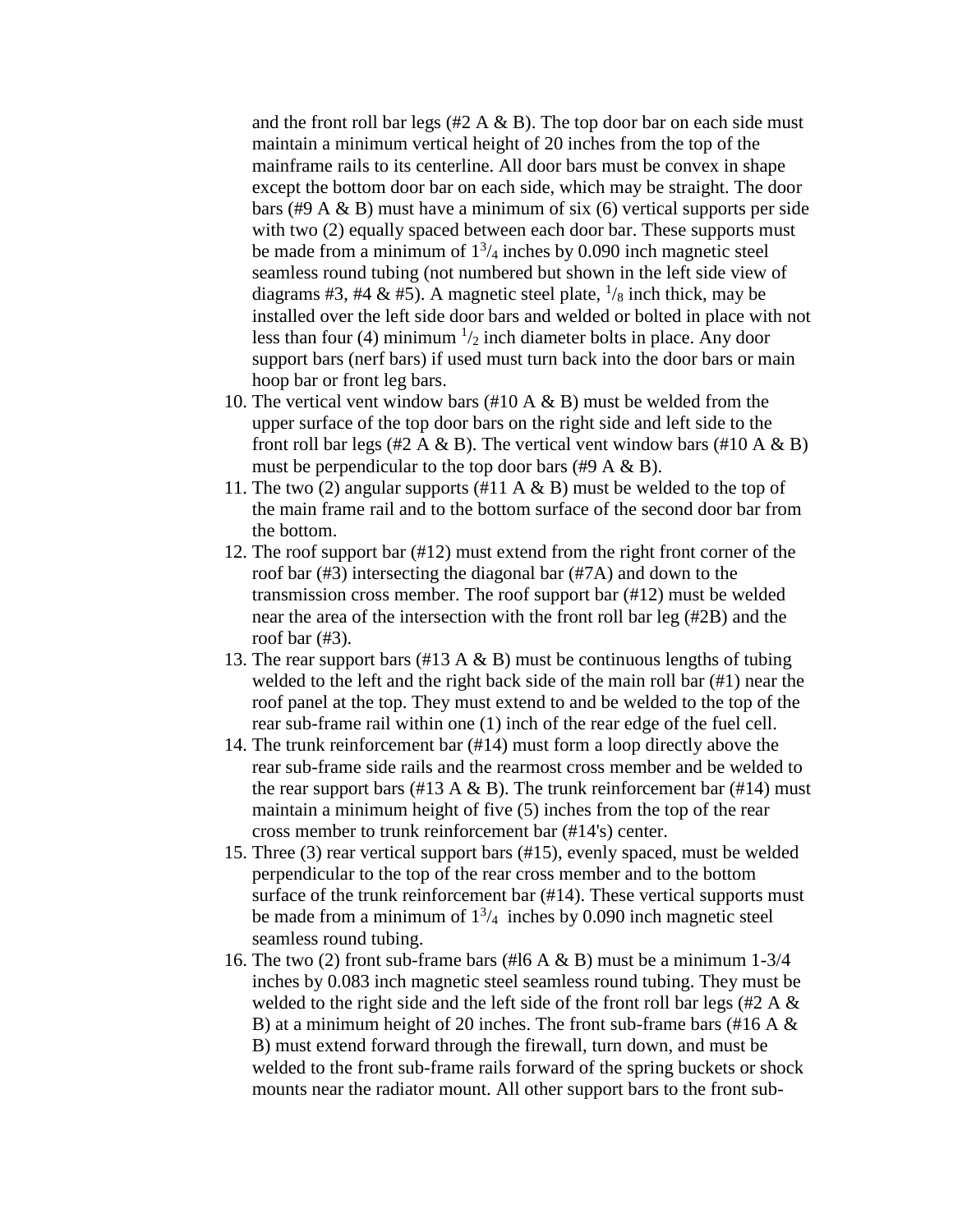and the front roll bar legs  $(\#2 \land \& B)$ . The top door bar on each side must maintain a minimum vertical height of 20 inches from the top of the mainframe rails to its centerline. All door bars must be convex in shape except the bottom door bar on each side, which may be straight. The door bars (#9 A & B) must have a minimum of six (6) vertical supports per side with two (2) equally spaced between each door bar. These supports must be made from a minimum of  $1^3/4$  inches by 0.090 inch magnetic steel seamless round tubing (not numbered but shown in the left side view of diagrams #3, #4 & #5). A magnetic steel plate,  $\frac{1}{8}$  inch thick, may be installed over the left side door bars and welded or bolted in place with not less than four (4) minimum  $\frac{1}{2}$  inch diameter bolts in place. Any door support bars (nerf bars) if used must turn back into the door bars or main hoop bar or front leg bars.

- 10. The vertical vent window bars  $(\#10 \land \& B)$  must be welded from the upper surface of the top door bars on the right side and left side to the front roll bar legs (#2 A & B). The vertical vent window bars (#10 A & B) must be perpendicular to the top door bars  $(\#9 \land \& B)$ .
- 11. The two (2) angular supports (#11 A  $\&$  B) must be welded to the top of the main frame rail and to the bottom surface of the second door bar from the bottom.
- 12. The roof support bar (#12) must extend from the right front corner of the roof bar (#3) intersecting the diagonal bar (#7A) and down to the transmission cross member. The roof support bar (#12) must be welded near the area of the intersection with the front roll bar leg (#2B) and the roof bar (#3).
- 13. The rear support bars (#13 A  $\&$  B) must be continuous lengths of tubing welded to the left and the right back side of the main roll bar (#1) near the roof panel at the top. They must extend to and be welded to the top of the rear sub-frame rail within one (1) inch of the rear edge of the fuel cell.
- 14. The trunk reinforcement bar (#14) must form a loop directly above the rear sub-frame side rails and the rearmost cross member and be welded to the rear support bars (#13 A  $\&$  B). The trunk reinforcement bar (#14) must maintain a minimum height of five (5) inches from the top of the rear cross member to trunk reinforcement bar (#14's) center.
- 15. Three (3) rear vertical support bars (#15), evenly spaced, must be welded perpendicular to the top of the rear cross member and to the bottom surface of the trunk reinforcement bar (#14). These vertical supports must be made from a minimum of  $1<sup>3</sup>/4$  inches by 0.090 inch magnetic steel seamless round tubing.
- 16. The two (2) front sub-frame bars (#16 A  $\&$  B) must be a minimum 1-3/4 inches by 0.083 inch magnetic steel seamless round tubing. They must be welded to the right side and the left side of the front roll bar legs (#2 A & B) at a minimum height of 20 inches. The front sub-frame bars (#16 A & B) must extend forward through the firewall, turn down, and must be welded to the front sub-frame rails forward of the spring buckets or shock mounts near the radiator mount. All other support bars to the front sub-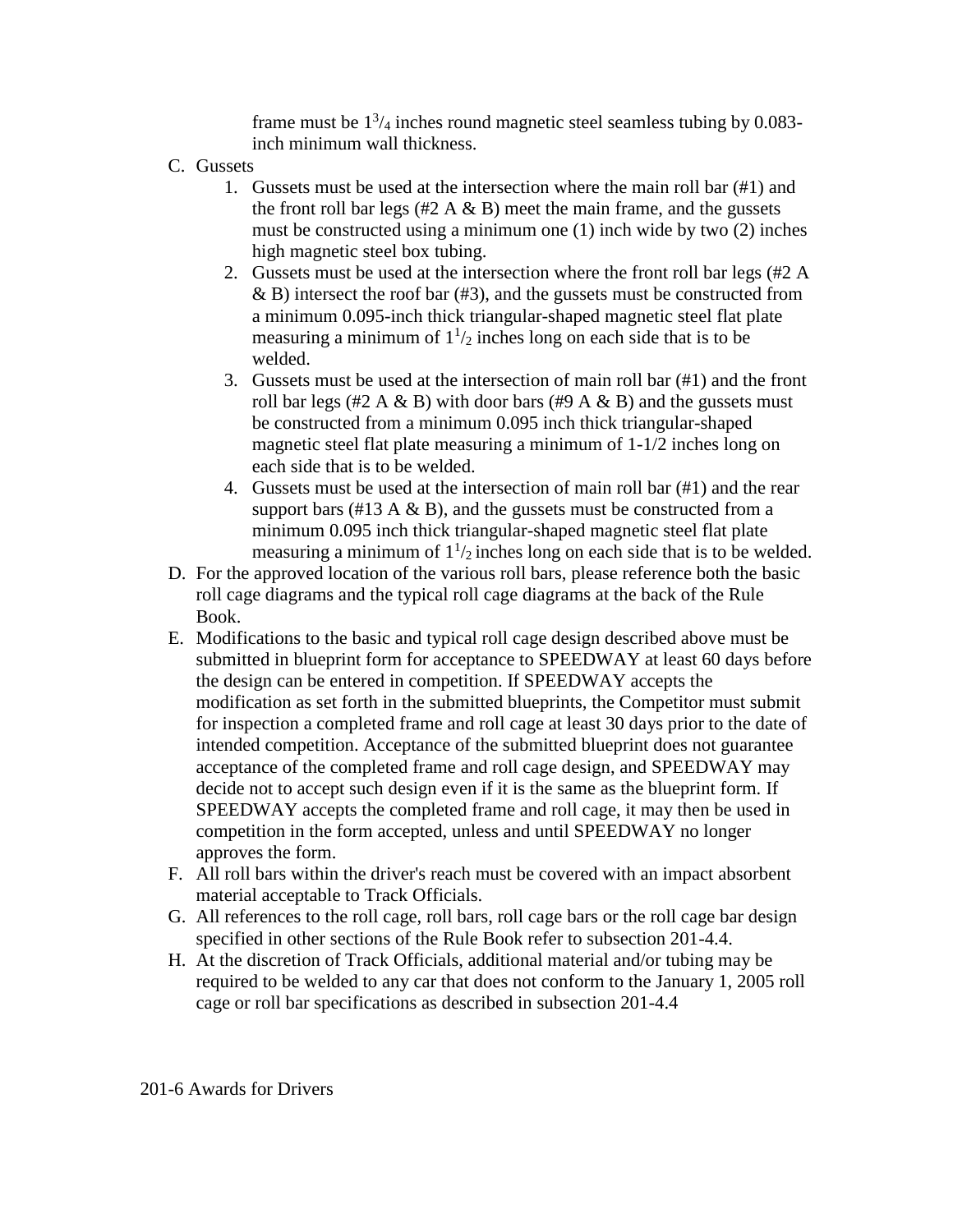frame must be  $1^{3}/_{4}$  inches round magnetic steel seamless tubing by 0.083inch minimum wall thickness.

- C. Gussets
	- 1. Gussets must be used at the intersection where the main roll bar (#1) and the front roll bar legs  $(\#2 \land \& B)$  meet the main frame, and the gussets must be constructed using a minimum one (1) inch wide by two (2) inches high magnetic steel box tubing.
	- 2. Gussets must be used at the intersection where the front roll bar legs (#2 A  $\&$  B) intersect the roof bar (#3), and the gussets must be constructed from a minimum 0.095-inch thick triangular-shaped magnetic steel flat plate measuring a minimum of  $1\frac{1}{2}$  inches long on each side that is to be welded.
	- 3. Gussets must be used at the intersection of main roll bar  $(\#1)$  and the front roll bar legs (#2 A & B) with door bars (#9 A & B) and the gussets must be constructed from a minimum 0.095 inch thick triangular-shaped magnetic steel flat plate measuring a minimum of 1-1/2 inches long on each side that is to be welded.
	- 4. Gussets must be used at the intersection of main roll bar (#1) and the rear support bars (#13 A  $\&$  B), and the gussets must be constructed from a minimum 0.095 inch thick triangular-shaped magnetic steel flat plate measuring a minimum of  $1\frac{1}{2}$  inches long on each side that is to be welded.
- D. For the approved location of the various roll bars, please reference both the basic roll cage diagrams and the typical roll cage diagrams at the back of the Rule Book.
- E. Modifications to the basic and typical roll cage design described above must be submitted in blueprint form for acceptance to SPEEDWAY at least 60 days before the design can be entered in competition. If SPEEDWAY accepts the modification as set forth in the submitted blueprints, the Competitor must submit for inspection a completed frame and roll cage at least 30 days prior to the date of intended competition. Acceptance of the submitted blueprint does not guarantee acceptance of the completed frame and roll cage design, and SPEEDWAY may decide not to accept such design even if it is the same as the blueprint form. If SPEEDWAY accepts the completed frame and roll cage, it may then be used in competition in the form accepted, unless and until SPEEDWAY no longer approves the form.
- F. All roll bars within the driver's reach must be covered with an impact absorbent material acceptable to Track Officials.
- G. All references to the roll cage, roll bars, roll cage bars or the roll cage bar design specified in other sections of the Rule Book refer to subsection 201-4.4.
- H. At the discretion of Track Officials, additional material and/or tubing may be required to be welded to any car that does not conform to the January 1, 2005 roll cage or roll bar specifications as described in subsection 201-4.4